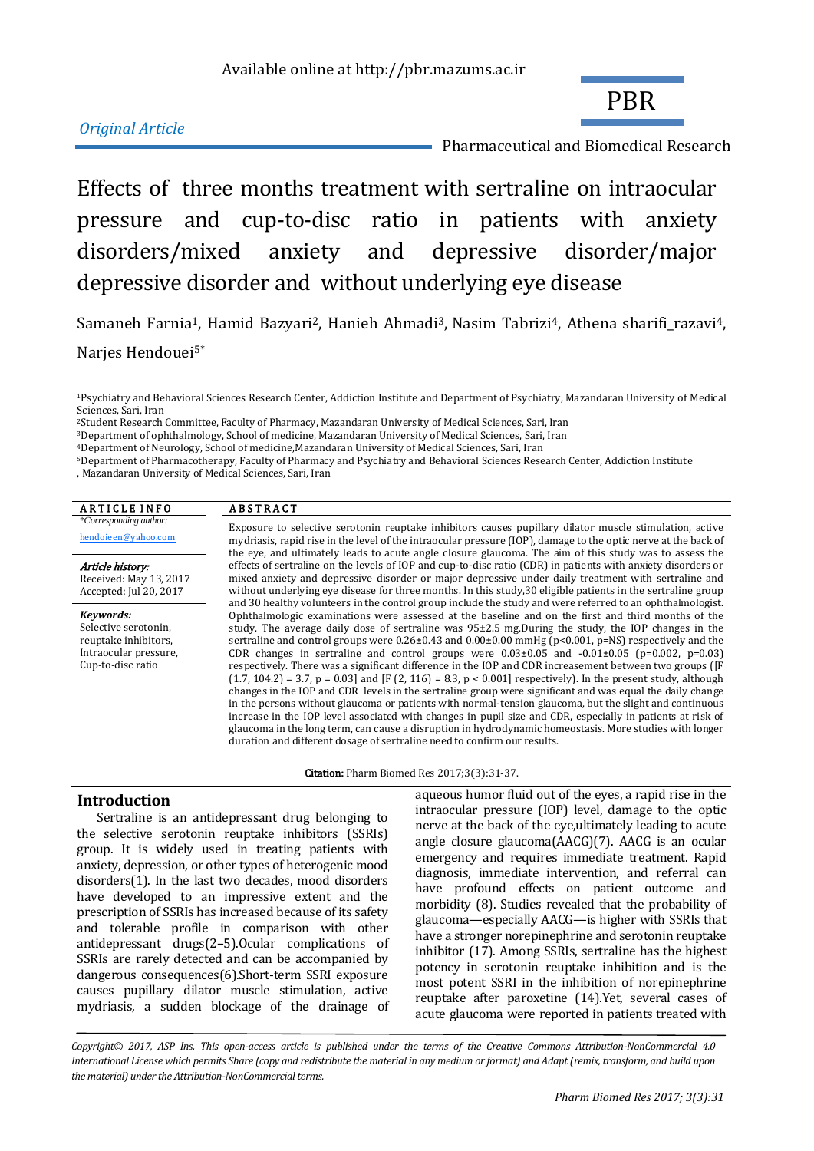# *Original Article*

Pharmaceutical and Biomedical Research

PBR

Effects of three months treatment with sertraline on intraocular pressure and cup-to-disc ratio in patients with anxiety disorders/mixed anxiety and depressive disorder/major depressive disorder and without underlying eye disease

Samaneh Farnia<sup>1</sup>, Hamid Bazyari<sup>2</sup>, Hanieh Ahmadi<sup>3</sup>, Nasim Tabrizi<sup>4</sup>, Athena sharifi razavi<sup>4</sup>, Narjes Hendouei5\*

<sup>3</sup>Department of ophthalmology, School of medicine, Mazandaran University of Medical Sciences, Sari, Iran

<sup>4</sup>Department of Neurology, School of medicine,Mazandaran University of Medical Sciences, Sari, Iran

<sup>5</sup>Department of Pharmacotherapy, Faculty of Pharmacy and Psychiatry and Behavioral Sciences Research Center, Addiction Institute

<sup>,</sup> Mazandaran University of Medical Sciences, Sari, Iran

| <b>ARTICLE INFO</b>                                                                                     | <b>ABSTRACT</b>                                                                                                                                                                                                                                                                                                                                                                                                                                                                                                                                                                                                                                                                                                                                                                                                                                                                                                                                                                                                                                                                                                                                                                                                                                                                                                          |
|---------------------------------------------------------------------------------------------------------|--------------------------------------------------------------------------------------------------------------------------------------------------------------------------------------------------------------------------------------------------------------------------------------------------------------------------------------------------------------------------------------------------------------------------------------------------------------------------------------------------------------------------------------------------------------------------------------------------------------------------------------------------------------------------------------------------------------------------------------------------------------------------------------------------------------------------------------------------------------------------------------------------------------------------------------------------------------------------------------------------------------------------------------------------------------------------------------------------------------------------------------------------------------------------------------------------------------------------------------------------------------------------------------------------------------------------|
| *Corresponding author:<br>hendoieen@yahoo.com                                                           | Exposure to selective serotonin reuptake inhibitors causes pupillary dilator muscle stimulation, active<br>mydriasis, rapid rise in the level of the intraocular pressure (IOP), damage to the optic nerve at the back of<br>the eye, and ultimately leads to acute angle closure glaucoma. The aim of this study was to assess the                                                                                                                                                                                                                                                                                                                                                                                                                                                                                                                                                                                                                                                                                                                                                                                                                                                                                                                                                                                      |
| Article history:<br>Received: May 13, 2017<br>Accepted: Jul 20, 2017                                    | effects of sertraline on the levels of IOP and cup-to-disc ratio (CDR) in patients with anxiety disorders or<br>mixed anxiety and depressive disorder or major depressive under daily treatment with sertraline and<br>without underlying eye disease for three months. In this study, 30 eligible patients in the sertraline group                                                                                                                                                                                                                                                                                                                                                                                                                                                                                                                                                                                                                                                                                                                                                                                                                                                                                                                                                                                      |
| Keywords:<br>Selective serotonin,<br>reuptake inhibitors,<br>Intraocular pressure,<br>Cup-to-disc ratio | and 30 healthy volunteers in the control group include the study and were referred to an ophthalmologist.<br>Ophthalmologic examinations were assessed at the baseline and on the first and third months of the<br>study. The average daily dose of sertraline was $95\pm2.5$ mg.During the study, the IOP changes in the<br>sertraline and control groups were $0.26\pm0.43$ and $0.00\pm0.00$ mmHg ( $p<0.001$ , $p=NS$ ) respectively and the<br>CDR changes in sertraline and control groups were $0.03\pm0.05$ and $-0.01\pm0.05$ (p=0.002, p=0.03)<br>respectively. There was a significant difference in the IOP and CDR increasement between two groups ([F<br>$(1.7, 104.2) = 3.7$ , $p = 0.03$ and [F (2, 116) = 8.3, $p < 0.001$ ] respectively). In the present study, although<br>changes in the IOP and CDR levels in the sertraline group were significant and was equal the daily change<br>in the persons without glaucoma or patients with normal-tension glaucoma, but the slight and continuous<br>increase in the IOP level associated with changes in pupil size and CDR, especially in patients at risk of<br>glaucoma in the long term, can cause a disruption in hydrodynamic homeostasis. More studies with longer<br>duration and different dosage of sertraline need to confirm our results. |

Citation: Pharm Biomed Res 2017;3(3):31-37.

#### **Introduction**

Sertraline is an antidepressant drug belonging to the selective serotonin reuptake inhibitors (SSRIs) group. It is widely used in treating patients with anxiety, depression, or other types of heterogenic mood disorders(1). In the last two decades, mood disorders have developed to an impressive extent and the prescription of SSRIs has increased because of its safety and tolerable profile in comparison with other antidepressant drugs(2–5).Ocular complications of SSRIs are rarely detected and can be accompanied by dangerous consequences(6).Short-term SSRI exposure causes pupillary dilator muscle stimulation, active mydriasis, a sudden blockage of the drainage of

aqueous humor fluid out of the eyes, a rapid rise in the intraocular pressure (IOP) level, damage to the optic nerve at the back of the eye,ultimately leading to acute angle closure glaucoma(AACG)(7). AACG is an ocular emergency and requires immediate treatment. Rapid diagnosis, immediate intervention, and referral can have profound effects on patient outcome and morbidity (8). Studies revealed that the probability of glaucoma—especially AACG—is higher with SSRIs that have a stronger norepinephrine and serotonin reuptake inhibitor (17). Among SSRIs, sertraline has the highest potency in serotonin reuptake inhibition and is the most potent SSRI in the inhibition of norepinephrine reuptake after paroxetine (14).Yet, several cases of acute glaucoma were reported in patients treated with

*Copyright© 2017, ASP Ins. This open-access article is published under the terms of the Creative Commons Attribution-NonCommercial 4.0 International License which permits Share (copy and redistribute the material in any medium or format) and Adapt (remix, transform, and build upon the material) under the Attribution-NonCommercial terms.*

<sup>1</sup>Psychiatry and Behavioral Sciences Research Center, Addiction Institute and Department of Psychiatry, Mazandaran University of Medical Sciences, Sari, Iran

<sup>2</sup>Student Research Committee, Faculty of Pharmacy, Mazandaran University of Medical Sciences, Sari, Iran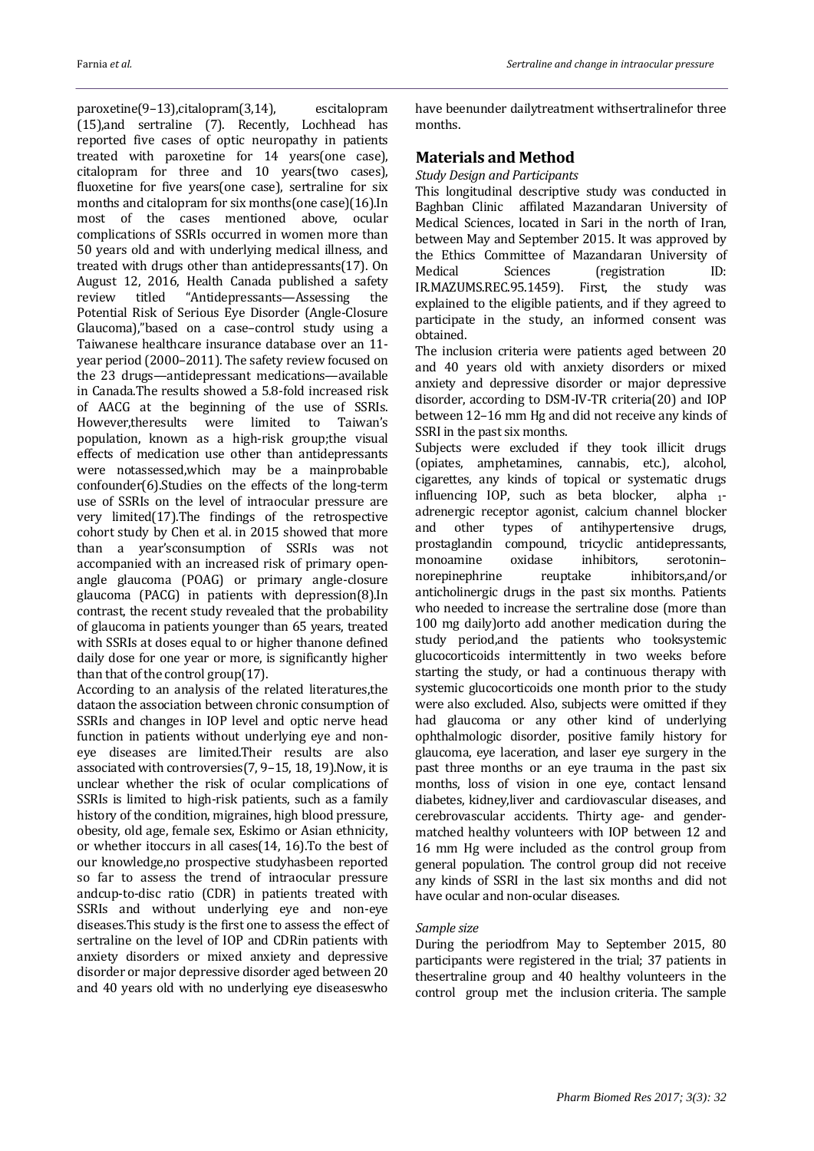paroxetine(9–13),citalopram(3,14), escitalopram (15),and sertraline (7). Recently, Lochhead has reported five cases of optic neuropathy in patients treated with paroxetine for 14 years(one case), citalopram for three and 10 years(two cases), fluoxetine for five years(one case), sertraline for six months and citalopram for six months(one case)(16).In most of the cases mentioned above, ocular complications of SSRIs occurred in women more than 50 years old and with underlying medical illness, and treated with drugs other than antidepressants(17). On August 12, 2016, Health Canada published a safety review titled "Antidepressants—Assessing the Potential Risk of Serious Eye Disorder (Angle-Closure Glaucoma),"based on a case–control study using a Taiwanese healthcare insurance database over an 11 year period (2000–2011). The safety review focused on the 23 drugs—antidepressant medications—available in Canada.The results showed a 5.8-fold increased risk of AACG at the beginning of the use of SSRIs. However,theresults were limited to Taiwan's population, known as a high-risk group;the visual effects of medication use other than antidepressants were notassessed,which may be a mainprobable confounder(6).Studies on the effects of the long-term use of SSRIs on the level of intraocular pressure are very limited(17).The findings of the retrospective cohort study by Chen et al. in 2015 showed that more than a year'sconsumption of SSRIs was not accompanied with an increased risk of primary openangle glaucoma (POAG) or primary angle-closure glaucoma (PACG) in patients with depression(8).In contrast, the recent study revealed that the probability of glaucoma in patients younger than 65 years, treated with SSRIs at doses equal to or higher thanone defined daily dose for one year or more, is significantly higher than that of the control group(17).

According to an analysis of the related literatures,the dataon the association between chronic consumption of SSRIs and changes in IOP level and optic nerve head function in patients without underlying eye and noneye diseases are limited.Their results are also associated with controversies(7, 9–15, 18, 19).Now, it is unclear whether the risk of ocular complications of SSRIs is limited to high-risk patients, such as a family history of the condition, migraines, high blood pressure, obesity, old age, female sex, Eskimo or Asian ethnicity, or whether itoccurs in all cases(14, 16).To the best of our knowledge,no prospective studyhasbeen reported so far to assess the trend of intraocular pressure andcup-to-disc ratio (CDR) in patients treated with SSRIs and without underlying eye and non-eye diseases.This study is the first one to assess the effect of sertraline on the level of IOP and CDRin patients with anxiety disorders or mixed anxiety and depressive disorder or major depressive disorder aged between 20 and 40 years old with no underlying eye diseaseswho

have beenunder dailytreatment withsertralinefor three months.

## **Materials and Method**

#### *Study Design and Participants*

This longitudinal descriptive study was conducted in Baghban Clinic affilated Mazandaran University of Medical Sciences, located in Sari in the north of Iran, between May and September 2015. It was approved by the Ethics Committee of Mazandaran University of Medical Sciences (registration ID: IR.MAZUMS.REC.95.1459). First, the study was explained to the eligible patients, and if they agreed to participate in the study, an informed consent was obtained.

The inclusion criteria were patients aged between 20 and 40 years old with anxiety disorders or mixed anxiety and depressive disorder or major depressive disorder, according to DSM-IV-TR criteria[\(20\)](#page-6-0) and IOP between 12–16 mm Hg and did not receive any kinds of SSRI in the past six months.

Subjects were excluded if they took illicit drugs (opiates, amphetamines, cannabis, etc.), alcohol, cigarettes, any kinds of topical or systematic drugs influencing IOP, such as beta blocker, alpha <sup>1</sup> adrenergic receptor agonist, calcium channel blocker and other types of antihypertensive drugs, prostaglandin compound, tricyclic antidepressants, monoamine oxidase inhibitors, serotonin– norepinephrine reuptake inhibitors,and/or anticholinergic drugs in the past six months. Patients who needed to increase the sertraline dose (more than 100 mg daily)orto add another medication during the study period,and the patients who tooksystemic glucocorticoids intermittently in two weeks before starting the study, or had a continuous therapy with systemic glucocorticoids one month prior to the study were also excluded. Also, subjects were omitted if they had glaucoma or any other kind of underlying ophthalmologic disorder, positive family history for glaucoma, eye laceration, and laser eye surgery in the past three months or an eye trauma in the past six months, loss of vision in one eye, contact lensand diabetes, kidney,liver and cardiovascular diseases, and cerebrovascular accidents. Thirty age- and gendermatched healthy volunteers with IOP between 12 and 16 mm Hg were included as the control group from general population. The control group did not receive any kinds of SSRI in the last six months and did not have ocular and non-ocular diseases.

#### *Sample size*

During the periodfrom May to September 2015, 80 participants were registered in the trial; 37 patients in thesertraline group and 40 healthy volunteers in the control group met the inclusion criteria. The sample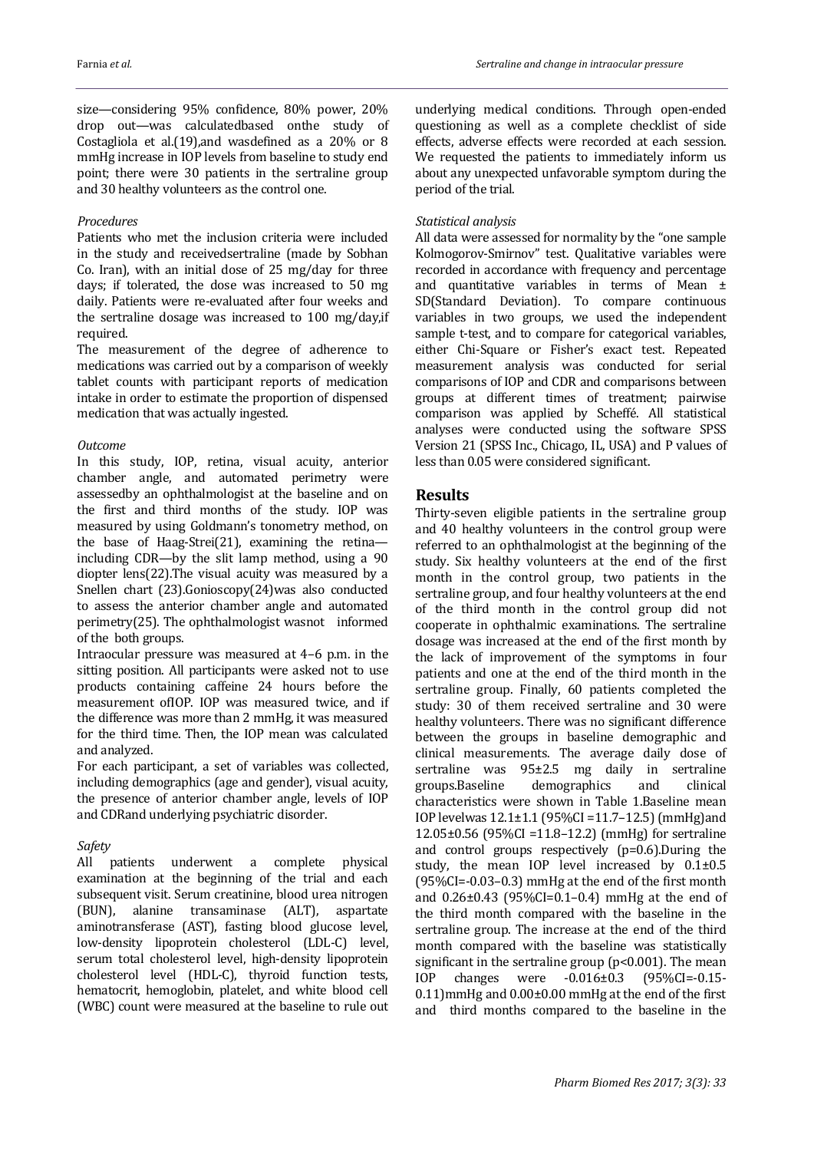size—considering 95% confidence, 80% power, 20% drop out—was calculatedbased onthe study of Costagliola et al.[\(19\)](#page-6-1),and wasdefined as a 20% or 8 mmHg increase in IOP levels from baseline to study end point; there were 30 patients in the sertraline group and 30 healthy volunteers as the control one.

#### *Procedures*

Patients who met the inclusion criteria were included in the study and receivedsertraline (made by Sobhan Co. Iran), with an initial dose of 25 mg/day for three days; if tolerated, the dose was increased to 50 mg daily. Patients were re-evaluated after four weeks and the sertraline dosage was increased to 100 mg/day,if required.

The measurement of the degree of adherence to medications was carried out by a comparison of weekly tablet counts with participant reports of medication intake in order to estimate the proportion of dispensed medication that was actually ingested.

#### *Outcome*

In this study, IOP, retina, visual acuity, anterior chamber angle, and automated perimetry were assessedby an ophthalmologist at the baseline and on the first and third months of the study. IOP was measured by using Goldmann's tonometry method, on the base of Haag-Strei[\(21\)](#page-6-2), examining the retina including CDR—by the slit lamp method, using a 90 diopter lens[\(22\)](#page-6-3).The visual acuity was measured by a Snellen chart [\(23\)](#page-6-4).Gonioscopy[\(24\)](#page-6-5)was also conducted to assess the anterior chamber angle and automated perimetry[\(25\).](#page-6-6) The ophthalmologist wasnot informed of the both groups.

Intraocular pressure was measured at 4–6 p.m. in the sitting position. All participants were asked not to use products containing caffeine 24 hours before the measurement ofIOP. IOP was measured twice, and if the difference was more than 2 mmHg, it was measured for the third time. Then, the IOP mean was calculated and analyzed.

For each participant, a set of variables was collected, including demographics (age and gender), visual acuity, the presence of anterior chamber angle, levels of IOP and CDRand underlying psychiatric disorder.

#### *Safety*

All patients underwent a complete physical examination at the beginning of the trial and each subsequent visit. Serum creatinine, blood urea nitrogen (BUN), alanine transaminase (ALT), aspartate aminotransferase (AST), fasting blood glucose level, low-density lipoprotein cholesterol (LDL-C) level, serum total cholesterol level, high-density lipoprotein cholesterol level (HDL-C), thyroid function tests, hematocrit, hemoglobin, platelet, and white blood cell (WBC) count were measured at the baseline to rule out

underlying medical conditions. Through open-ended questioning as well as a complete checklist of side effects, adverse effects were recorded at each session. We requested the patients to immediately inform us about any unexpected unfavorable symptom during the period of the trial.

#### *Statistical analysis*

All data were assessed for normality by the "one sample Kolmogorov-Smirnov" test. Qualitative variables were recorded in accordance with frequency and percentage and quantitative variables in terms of Mean ± SD(Standard Deviation). To compare continuous variables in two groups, we used the independent sample t-test, and to compare for categorical variables, either Chi-Square or Fisher's exact test. Repeated measurement analysis was conducted for serial comparisons of IOP and CDR and comparisons between groups at different times of treatment; pairwise comparison was applied by Scheffé. All statistical analyses were conducted using the software SPSS Version 21 (SPSS Inc., Chicago, IL, USA) and P values of less than 0.05 were considered significant.

## **Results**

Thirty-seven eligible patients in the sertraline group and 40 healthy volunteers in the control group were referred to an ophthalmologist at the beginning of the study. Six healthy volunteers at the end of the first month in the control group, two patients in the sertraline group, and four healthy volunteers at the end of the third month in the control group did not cooperate in ophthalmic examinations. The sertraline dosage was increased at the end of the first month by the lack of improvement of the symptoms in four patients and one at the end of the third month in the sertraline group. Finally, 60 patients completed the study: 30 of them received sertraline and 30 were healthy volunteers. There was no significant difference between the groups in baseline demographic and clinical measurements. The average daily dose of sertraline was 95±2.5 mg daily in sertraline groups.Baseline demographics and clinical characteristics were shown in Table 1.Baseline mean IOP levelwas 12.1±1.1 (95%CI =11.7–12.5) (mmHg)and 12.05±0.56 (95%CI =11.8–12.2) (mmHg) for sertraline and control groups respectively (p=0.6).During the study, the mean IOP level increased by 0.1±0.5 (95%CI=-0.03–0.3) mmHg at the end of the first month and 0.26±0.43 (95%CI=0.1–0.4) mmHg at the end of the third month compared with the baseline in the sertraline group. The increase at the end of the third month compared with the baseline was statistically significant in the sertraline group (p<0.001). The mean IOP changes were -0.016±0.3 (95%CI=-0.15- 0.11)mmHg and 0.00±0.00 mmHg at the end of the first and third months compared to the baseline in the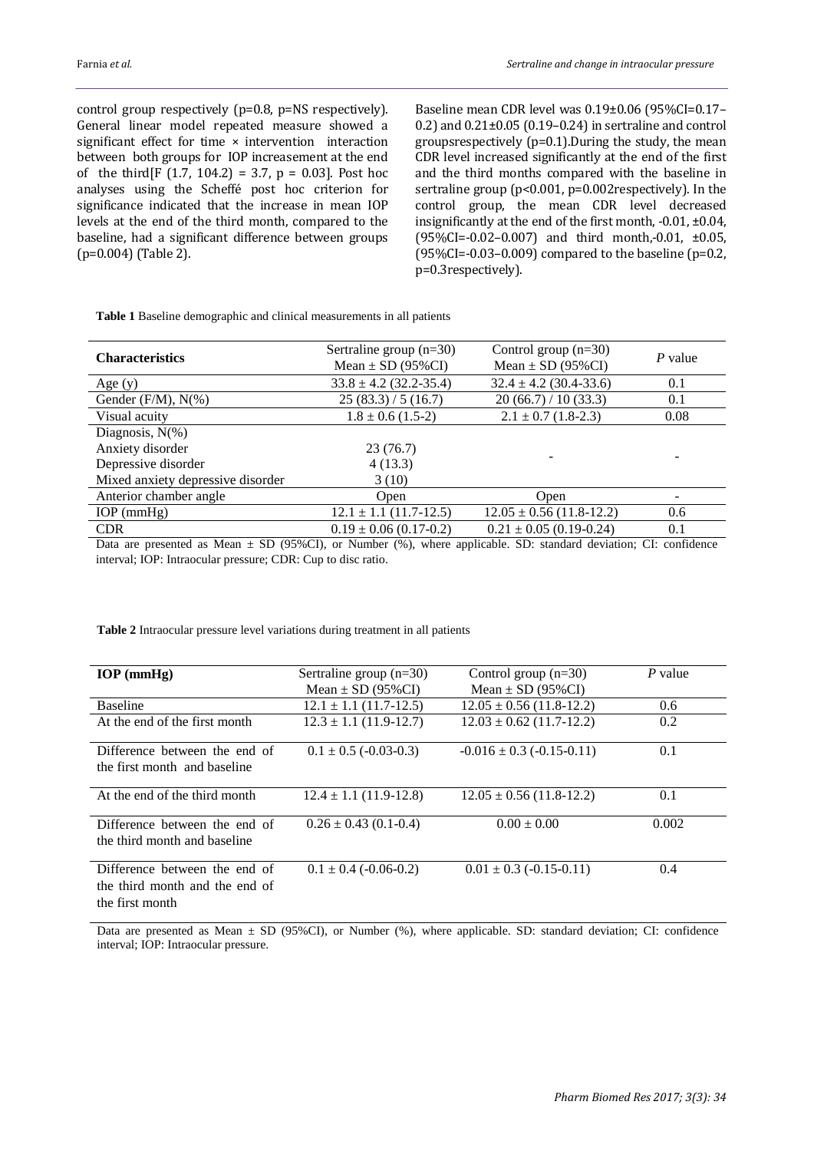control group respectively (p=0.8, p=NS respectively). General linear model repeated measure showed a significant effect for time × intervention interaction between both groups for IOP increasement at the end of the third[F  $(1.7, 104.2) = 3.7, p = 0.03$ ]. Post hoc analyses using the Scheffé post hoc criterion for significance indicated that the increase in mean IOP levels at the end of the third month, compared to the baseline, had a significant difference between groups (p=0.004) (Table 2).

Baseline mean CDR level was 0.19±0.06 (95%CI=0.17– 0.2) and 0.21±0.05 (0.19–0.24) in sertraline and control groupsrespectively (p=0.1).During the study, the mean CDR level increased significantly at the end of the first and the third months compared with the baseline in sertraline group (p<0.001, p=0.002respectively). In the control group, the mean CDR level decreased insignificantly at the end of the first month, -0.01, ±0.04, (95%CI=-0.02–0.007) and third month,-0.01, ±0.05, (95%CI=-0.03–0.009) compared to the baseline ( $p=0.2$ , p=0.3respectively).

**Table 1** Baseline demographic and clinical measurements in all patients

| <b>Characteristics</b>            | Sertraline group $(n=30)$<br>Mean $\pm$ SD (95%CI) | Control group $(n=30)$<br>Mean $\pm$ SD (95%CI) | P value |
|-----------------------------------|----------------------------------------------------|-------------------------------------------------|---------|
| Age $(y)$                         | $33.8 \pm 4.2$ (32.2-35.4)                         | $32.4 \pm 4.2$ (30.4-33.6)                      | 0.1     |
| Gender $(F/M)$ , $N(\%)$          | 25(83.3)/5(16.7)                                   | 20(66.7) / 10(33.3)                             | 0.1     |
| Visual acuity                     | $1.8 \pm 0.6$ (1.5-2)                              | $2.1 \pm 0.7$ (1.8-2.3)                         | 0.08    |
| Diagnosis, $N(\%)$                |                                                    |                                                 |         |
| Anxiety disorder                  | 23(76.7)                                           |                                                 |         |
| Depressive disorder               | 4(13.3)                                            |                                                 |         |
| Mixed anxiety depressive disorder | 3(10)                                              |                                                 |         |
| Anterior chamber angle            | Open                                               | Open                                            |         |
| $IOP$ (mmHg)                      | $12.1 \pm 1.1$ (11.7-12.5)                         | $12.05 \pm 0.56$ (11.8-12.2)                    | 0.6     |
| <b>CDR</b>                        | $0.19 \pm 0.06$ (0.17-0.2)                         | $0.21 \pm 0.05$ (0.19-0.24)                     | 0.1     |

Data are presented as Mean  $\pm$  SD (95%CI), or Number (%), where applicable. SD: standard deviation; CI: confidence interval; IOP: Intraocular pressure; CDR: Cup to disc ratio.

**Table 2** Intraocular pressure level variations during treatment in all patients

| $IOP$ (mmHg)                                                                       | Sertraline group $(n=30)$<br>Mean $\pm$ SD (95%CI) | Control group $(n=30)$<br>Mean $\pm$ SD (95%CI) | P value |
|------------------------------------------------------------------------------------|----------------------------------------------------|-------------------------------------------------|---------|
| <b>Baseline</b>                                                                    | $12.1 \pm 1.1$ (11.7-12.5)                         | $12.05 \pm 0.56$ (11.8-12.2)                    | 0.6     |
| At the end of the first month                                                      | $12.3 \pm 1.1$ (11.9-12.7)                         | $12.03 \pm 0.62$ (11.7-12.2)                    | 0.2     |
| Difference between the end of<br>the first month and baseline                      | $0.1 \pm 0.5$ (-0.03-0.3)                          | $-0.016 \pm 0.3$ ( $-0.15$ $-0.11$ )            | 0.1     |
| At the end of the third month                                                      | $12.4 \pm 1.1$ (11.9-12.8)                         | $12.05 \pm 0.56$ (11.8-12.2)                    | 0.1     |
| Difference between the end of<br>the third month and baseline                      | $0.26 \pm 0.43$ (0.1-0.4)                          | $0.00 \pm 0.00$                                 | 0.002   |
| Difference between the end of<br>the third month and the end of<br>the first month | $0.1 \pm 0.4$ (-0.06-0.2)                          | $0.01 \pm 0.3$ (-0.15-0.11)                     | 0.4     |

Data are presented as Mean ± SD (95%CI), or Number (%), where applicable. SD: standard deviation; CI: confidence interval; IOP: Intraocular pressure.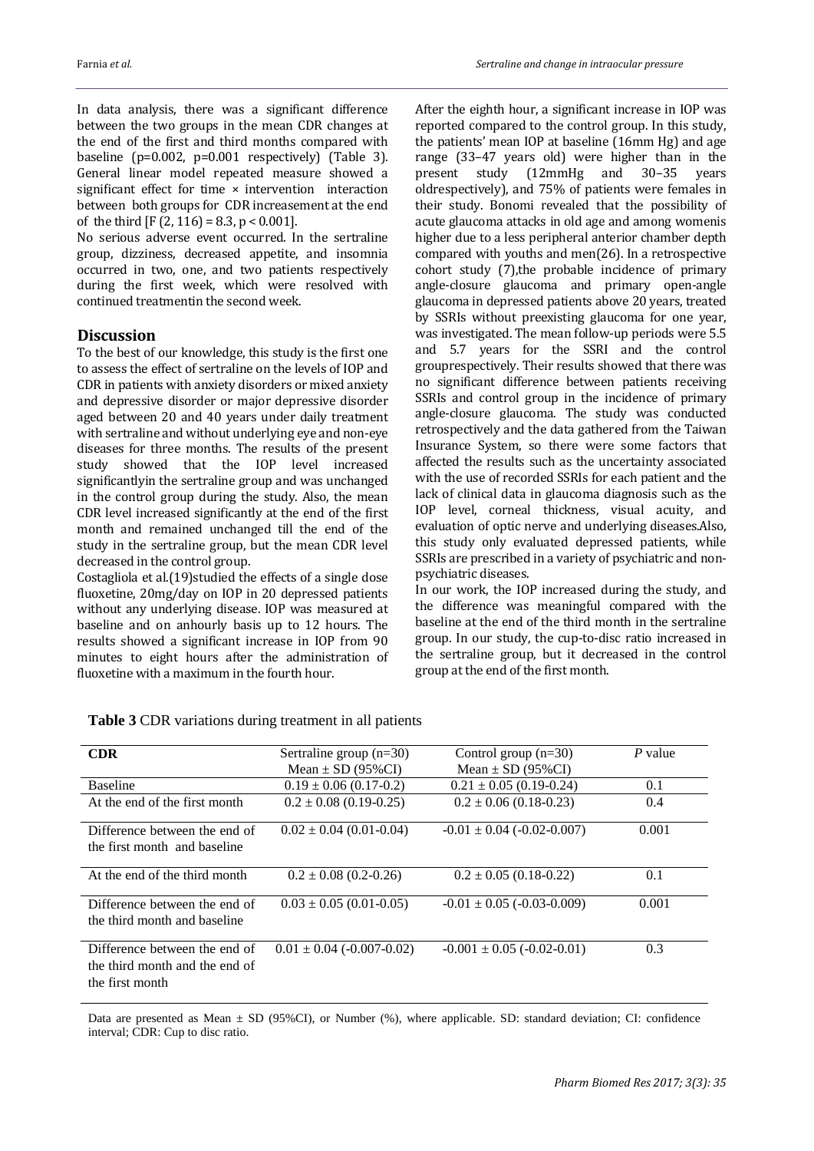In data analysis, there was a significant difference between the two groups in the mean CDR changes at the end of the first and third months compared with baseline (p=0.002, p=0.001 respectively) (Table 3). General linear model repeated measure showed a significant effect for time × intervention interaction between both groups for CDR increasement at the end of the third  $[F (2, 116) = 8.3, p < 0.001]$ .

No serious adverse event occurred. In the sertraline group, dizziness, decreased appetite, and insomnia occurred in two, one, and two patients respectively during the first week, which were resolved with continued treatmentin the second week.

## **Discussion**

To the best of our knowledge, this study is the first one to assess the effect of sertraline on the levels of IOP and CDR in patients with anxiety disorders or mixed anxiety and depressive disorder or major depressive disorder aged between 20 and 40 years under daily treatment with sertraline and without underlying eye and non-eye diseases for three months. The results of the present study showed that the IOP level increased significantlyin the sertraline group and was unchanged in the control group during the study. Also, the mean CDR level increased significantly at the end of the first month and remained unchanged till the end of the study in the sertraline group, but the mean CDR level decreased in the control group.

Costagliola et al.(19)studied the effects of a single dose fluoxetine, 20mg/day on IOP in 20 depressed patients without any underlying disease. IOP was measured at baseline and on anhourly basis up to 12 hours. The results showed a significant increase in IOP from 90 minutes to eight hours after the administration of fluoxetine with a maximum in the fourth hour.

After the eighth hour, a significant increase in IOP was reported compared to the control group. In this study, the patients' mean IOP at baseline (16mm Hg) and age range (33–47 years old) were higher than in the present study (12mmHg and 30–35 years oldrespectively), and 75% of patients were females in their study. Bonomi revealed that the possibility of acute glaucoma attacks in old age and among womenis higher due to a less peripheral anterior chamber depth compared with youths and men(26). In a retrospective cohort study (7),the probable incidence of primary angle-closure glaucoma and primary open-angle glaucoma in depressed patients above 20 years, treated by SSRIs without preexisting glaucoma for one year, was investigated. The mean follow-up periods were 5.5 and 5.7 years for the SSRI and the control grouprespectively. Their results showed that there was no significant difference between patients receiving SSRIs and control group in the incidence of primary angle-closure glaucoma. The study was conducted retrospectively and the data gathered from the Taiwan Insurance System, so there were some factors that affected the results such as the uncertainty associated with the use of recorded SSRIs for each patient and the lack of clinical data in glaucoma diagnosis such as the IOP level, corneal thickness, visual acuity, and evaluation of optic nerve and underlying diseases.Also, this study only evaluated depressed patients, while SSRIs are prescribed in a variety of psychiatric and nonpsychiatric diseases.

In our work, the IOP increased during the study, and the difference was meaningful compared with the baseline at the end of the third month in the sertraline group. In our study, the cup-to-disc ratio increased in the sertraline group, but it decreased in the control group at the end of the first month.

| <b>CDR</b>                                                                         | Sertraline group $(n=30)$<br>Mean $\pm$ SD (95%CI) | Control group $(n=30)$<br>Mean $\pm$ SD (95%CI) | P value |
|------------------------------------------------------------------------------------|----------------------------------------------------|-------------------------------------------------|---------|
| <b>Baseline</b>                                                                    | $0.19 \pm 0.06$ (0.17-0.2)                         | $0.21 \pm 0.05$ (0.19-0.24)                     | 0.1     |
| At the end of the first month                                                      | $0.2 \pm 0.08$ (0.19-0.25)                         | $0.2 \pm 0.06$ (0.18-0.23)                      | 0.4     |
| Difference between the end of<br>the first month and baseline                      | $0.02 \pm 0.04$ (0.01-0.04)                        | $-0.01 \pm 0.04$ ( $-0.02$ $-0.007$ )           | 0.001   |
| At the end of the third month                                                      | $0.2 \pm 0.08$ (0.2-0.26)                          | $0.2 \pm 0.05$ (0.18-0.22)                      | 0.1     |
| Difference between the end of<br>the third month and baseline                      | $0.03 \pm 0.05$ (0.01-0.05)                        | $-0.01 \pm 0.05$ ( $-0.03$ $-0.009$ )           | 0.001   |
| Difference between the end of<br>the third month and the end of<br>the first month | $0.01 \pm 0.04$ (-0.007-0.02)                      | $-0.001 \pm 0.05$ ( $-0.02$ $-0.01$ )           | 0.3     |

**Table 3** CDR variations during treatment in all patients

Data are presented as Mean ± SD (95%CI), or Number (%), where applicable. SD: standard deviation; CI: confidence interval; CDR: Cup to disc ratio.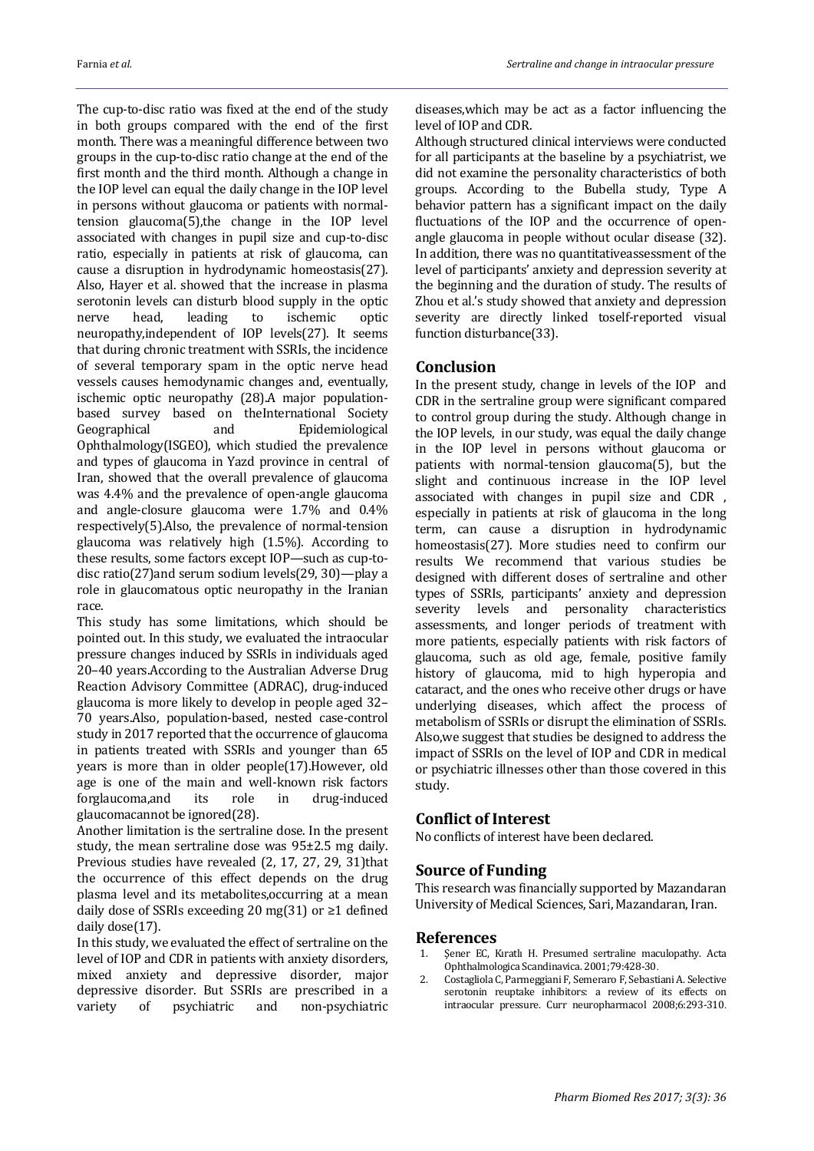The cup-to-disc ratio was fixed at the end of the study in both groups compared with the end of the first month. There was a meaningful difference between two groups in the cup-to-disc ratio change at the end of the first month and the third month. Although a change in the IOP level can equal the daily change in the IOP level in persons without glaucoma or patients with normaltension glaucoma(5),the change in the IOP level associated with changes in pupil size and cup-to-disc ratio, especially in patients at risk of glaucoma, can cause a disruption in hydrodynamic homeostasis(27). Also, Hayer et al. showed that the increase in plasma serotonin levels can disturb blood supply in the optic nerve head, leading to ischemic optic neuropathy,independent of IOP levels(27). It seems that during chronic treatment with SSRIs, the incidence of several temporary spam in the optic nerve head vessels causes hemodynamic changes and, eventually, ischemic optic neuropathy (28).A major populationbased survey based on theInternational Society Geographical and Epidemiological Ophthalmology(ISGEO), which studied the prevalence and types of glaucoma in Yazd province in central of Iran, showed that the overall prevalence of glaucoma was 4.4% and the prevalence of open-angle glaucoma and angle-closure glaucoma were 1.7% and 0.4% respectively(5).Also, the prevalence of normal-tension glaucoma was relatively high (1.5%). According to these results, some factors except IOP—such as cup-todisc ratio(27)and serum sodium levels(29, 30)—play a role in glaucomatous optic neuropathy in the Iranian race.

This study has some limitations, which should be pointed out. In this study, we evaluated the intraocular pressure changes induced by SSRIs in individuals aged 20–40 years.According to the Australian Adverse Drug Reaction Advisory Committee (ADRAC), drug-induced glaucoma is more likely to develop in people aged 32– 70 years.Also, population-based, nested case-control study in 2017 reported that the occurrence of glaucoma in patients treated with SSRIs and younger than 65 years is more than in older people(17).However, old age is one of the main and well-known risk factors forglaucoma,and its role in drug-induced glaucomacannot be ignored(28).

Another limitation is the sertraline dose. In the present study, the mean sertraline dose was 95±2.5 mg daily. Previous studies have revealed (2, 17, 27, 29, 31)that the occurrence of this effect depends on the drug plasma level and its metabolites,occurring at a mean daily dose of SSRIs exceeding 20 mg(31) or ≥1 defined daily dose(17).

In this study, we evaluated the effect of sertraline on the level of IOP and CDR in patients with anxiety disorders, mixed anxiety and depressive disorder, major depressive disorder. But SSRIs are prescribed in a variety of psychiatric and non-psychiatric diseases,which may be act as a factor influencing the level of IOP and CDR.

Although structured clinical interviews were conducted for all participants at the baseline by a psychiatrist, we did not examine the personality characteristics of both groups. According to the Bubella study, Type A behavior pattern has a significant impact on the daily fluctuations of the IOP and the occurrence of openangle glaucoma in people without ocular disease (32). In addition, there was no quantitativeassessment of the level of participants' anxiety and depression severity at the beginning and the duration of study. The results of Zhou et al.'s study showed that anxiety and depression severity are directly linked toself-reported visual function disturbance(33).

## **Conclusion**

In the present study, change in levels of the IOP and CDR in the sertraline group were significant compared to control group during the study. Although change in the IOP levels, in our study, was equal the daily change in the IOP level in persons without glaucoma or patients with normal-tension glaucoma(5), but the slight and continuous increase in the IOP level associated with changes in pupil size and CDR , especially in patients at risk of glaucoma in the long term, can cause a disruption in hydrodynamic homeostasis(27). More studies need to confirm our results We recommend that various studies be designed with different doses of sertraline and other types of SSRIs, participants' anxiety and depression severity levels and personality characteristics assessments, and longer periods of treatment with more patients, especially patients with risk factors of glaucoma, such as old age, female, positive family history of glaucoma, mid to high hyperopia and cataract, and the ones who receive other drugs or have underlying diseases, which affect the process of metabolism of SSRIs or disrupt the elimination of SSRIs. Also,we suggest that studies be designed to address the impact of SSRIs on the level of IOP and CDR in medical or psychiatric illnesses other than those covered in this study.

#### **Conflict of Interest**

No conflicts of interest have been declared.

## **Source of Funding**

This research was financially supported by Mazandaran University of Medical Sciences, Sari, Mazandaran, Iran.

#### **References**

- 1. Şener EC, Kıratlı H. Presumed sertraline maculopathy. Acta Ophthalmologica Scandinavica. 2001;79:428-30.
- 2. Costagliola C, Parmeggiani F, Semeraro F, Sebastiani A. Selective serotonin reuptake inhibitors: a review of its effects on intraocular pressure. Curr neuropharmacol 2008;6:293-310.